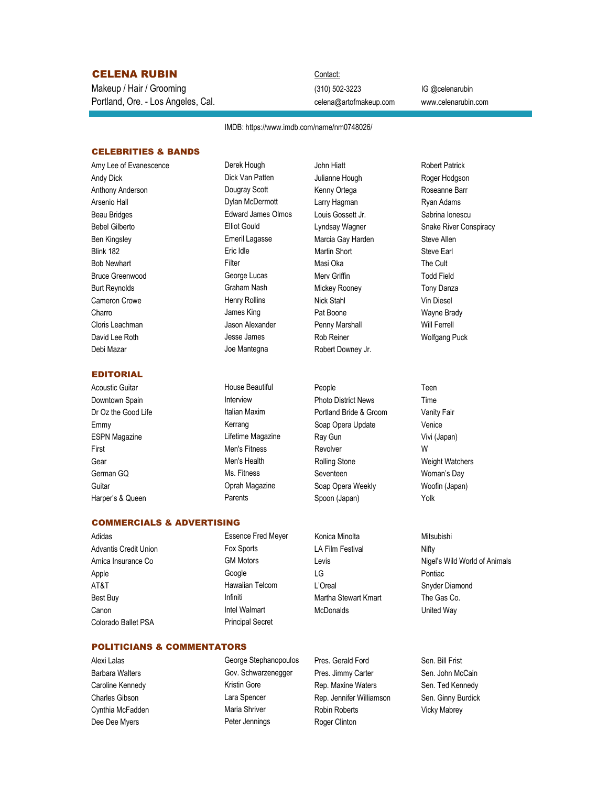# CELENA RUBIN Contact:

Portland, Ore. - Los Angeles, Cal. Makeup / Hair / Grooming

(310) 502-3223 IG @celenarubin

celena@artofmakeup.com www.celenarubin.com

IMDB: https://www.imdb.com/name/nm0748026/

# CELEBRITIES & BANDS

Andy Dick **Mullianne Hough Roger Hodgson** Dick Van Patten **Mullianne Hough** Roger Hodgson Anthony Anderson **Community** Communist Dougray Scott Communist Communist Constants Roseanne Barr Arsenio Hall Larry Hagman Ryan Adams Dylan McDermott Beau Bridges **Louis Cally Communist Communist Communist Communist Communist Communist Communist Communist Communist Communist Communist Communist Communist Communist Communist Communist Communist Communist Communist Commun** Ben Kingsley **Marcia Communist Communist Communist Communist Communist Communist Communist Communist Communist Communist Communist Communist Communist Communist Communist Communist Communist Communist Communist Communist C** Blink 182 **Martin Short Steve Earl** Eric Idle **Martin Short** Steve Earl Steve Earl Bob Newhart **Mass Communist Communist Communist Communist Communist Communist Communist Communist Communist Communist Communist Communist Communist Communist Communist Communist Communist Communist Communist Communist Comm** Bruce Greenwood **Sexual Ceptity Griffin** Merv Griffin Todd Field Todd Field Burt Reynolds **Mickey Rooney** Tony Danza Cameron Crowe **Cameron Crowe Nick Stahl** Cameron Crowe **Vin Diesel** Charro **Charro Charro Charro Charro Charro Charro Charro Charro Charro Charro Charro Charro Charro Charro Charro Charro Charro Charro Charro Charro Charro Charro Charro Charro Charro Charro Charro Charro Charro Charro Char** Cloris Leachman **Cloris Cloris Leachman** and Cloris Leachman and Cloris Leachman and Mill Ferrell David Lee Roth **Rob Reiner** Constants Hotel Rob Reiner Rob Reiner Robert Robert Wolfgang Puck Debi Mazar **National State Upon Contract Downey Jr.** Joe Mantegna **Robert Downey Jr.** 

# EDITORIAL

Joe Mantegna Jesse James James King George Lucas Graham Nash Eric Idle Filter Elliot Gould Emeril Lagasse Dougray Scott Derek Hough

Acoustic Guitar **Accoustic Guitar** People **Teen Teen People Teen** Parents Ms. Fitness Oprah Magazine Men's Fitness Men's Health Kerrang Interview Italian Maxim House Beautiful

### COMMERCIALS & ADVERTISING

Advantis Credit Union **LA Film Festival** Credit Union Credit Control Control Fox Sports CLA Film Festival Credit Nifty Apple **Apple** Coogle Coogle Coogle Coogle Coogle Coogle Coogle Coogle Coogle Coogle Coogle Coogle Coogle Coogle AT&T **ATA**T CHECH CHECH CHECH CHECH CHECH CHECH CHECH CHECH CHECH CHECH CHECH CHECH CHECH CHECH CHECH CHECH CHECH CHECH CHECH CHECH CHECH CHECH CHECH CHECH CHECH CHECH CHECH CHECH CHECH CHECH CHECH CHECH CHECH CHECH CHECH Best Buy **Martha Stewart Kmart Containers** The Gas Co. Canon **Canon** McDonalds Canon United Way Colorado Ballet PSA

Adidas **Mitsubishi** Essence Fred Meyer Monica Minolta Principal Secret Infiniti Intel Walmart Google Hawaiian Telcom Fox Sports GM Motors

# Amy Lee of Evanescence **Communist Contract Contract Patrick** John Hiatt **Nobert Patrick** Robert Patrick

Downtown Spain **Photo District News** Time Photo District News Time Dr Oz the Good Life **Portland Bride & Groom** Vanity Fair **Portland Bride & Groom** Vanity Fair Emmy Soap Opera Update Venice Venice Communist Communist Communist Communist Communist Communist Venice ESPN Magazine **ESPN Magazine** Lifetime Magazine **Ray Gun** Ray Gun Vivi (Japan) First **Example 2018** Men's Fitness **Revolver** Revolver Gear **Gear** Constants Men's Health **Constants Constants Constants Weight Watchers** German GQ **Severteen** Ms. Fitness Seventeen Seventeen Woman's Day Guitar **Soap Opera Weekly** Woofin (Japan) Corah Magazine Soap Opera Weekly Woofin (Japan) Harper's & Queen The Spoon (Japan) Spoon (Japan) Spoon (Japan) Spoon (Japan) Spoon (Japan) Spoon (Japan) Spoon (Japan)

# Bebel Gilberto **Conspiracy Elliot Gould** Could Lyndsay Wagner Snake River Conspiracy

Amica Insurance Co **CON CON MOTO CON** CONSTANTIAL CONSTANTS CONSTANTS Animals Animals Animals Animals Animals Animals Animals Animals Animals Animals Animals Animals Animals Animals Animals Animals Animals Animals Animals

### POLITICIANS & COMMENTATORS

Alexi Lalas **Example 3** Ceorge Stephanopoulos Pres. Gerald Ford Sen. Bill Frist Barbara Walters **COV.** Schwarzenegger Pres. Jimmy Carter Sen. John McCain Caroline Kennedy **Rep. Marking Caroline Kennedy** Rep. Maxine Waters Sen. Ted Kennedy Charles Gibson **Charles Cibson** Charles Gibson Charles Gibson Charles Gibson Charles Gibson Charles Computer Sen. Ginny Burdick Cynthia McFadden **Maria Shriver** Robin Roberts Vicky Mabrey Dee Dee Myers **Roger Clinton** Peter Jennings Roger Clinton Peter Jennings Lara Spencer Maria Shriver Kristin Gore